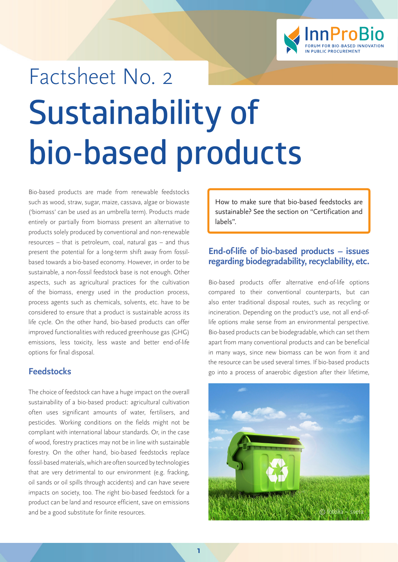

# Factsheet No. 2 **Sustainability of bio-based products**

Bio-based products are made from renewable feedstocks such as wood, straw, sugar, maize, cassava, algae or biowaste ('biomass' can be used as an umbrella term). Products made entirely or partially from biomass present an alternative to products solely produced by conventional and non-renewable resources – that is petroleum, coal, natural gas – and thus present the potential for a long-term shift away from fossilbased towards a bio-based economy. However, in order to be sustainable, a non-fossil feedstock base is not enough. Other aspects, such as agricultural practices for the cultivation of the biomass, energy used in the production process, process agents such as chemicals, solvents, etc. have to be considered to ensure that a product is sustainable across its life cycle. On the other hand, bio-based products can offer improved functionalities with reduced greenhouse gas (GHG) emissions, less toxicity, less waste and better end-of-life options for final disposal.

# **Feedstocks**

The choice of feedstock can have a huge impact on the overall sustainability of a bio-based product: agricultural cultivation often uses significant amounts of water, fertilisers, and pesticides. Working conditions on the fields might not be compliant with international labour standards. Or, in the case of wood, forestry practices may not be in line with sustainable forestry. On the other hand, bio-based feedstocks replace fossil-based materials, which are often sourced by technologies that are very detrimental to our environment (e.g. fracking, oil sands or oil spills through accidents) and can have severe impacts on society, too. The right bio-based feedstock for a product can be land and resource efficient, save on emissions and be a good substitute for finite resources.

How to make sure that bio-based feedstocks are sustainable? See the section on "Certification and labels".

## **End-of-life of bio-based products – issues regarding biodegradability, recyclability, etc.**

Bio-based products offer alternative end-of-life options compared to their conventional counterparts, but can also enter traditional disposal routes, such as recycling or incineration. Depending on the product's use, not all end-oflife options make sense from an environmental perspective. Bio-based products can be biodegradable, which can set them apart from many conventional products and can be beneficial in many ways, since new biomass can be won from it and the resource can be used several times. If bio-based products go into a process of anaerobic digestion after their lifetime,

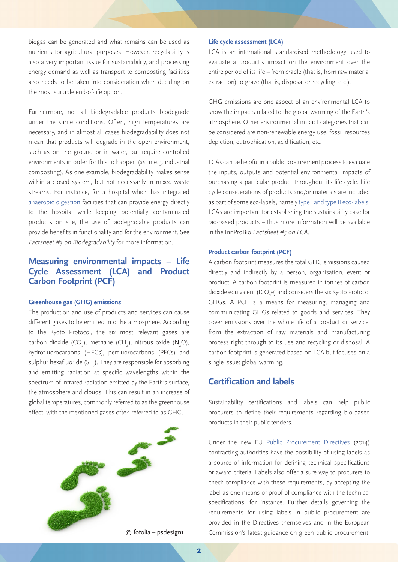biogas can be generated and what remains can be used as nutrients for agricultural purposes. However, recyclability is also a very important issue for sustainability, and processing energy demand as well as transport to composting facilities also needs to be taken into consideration when deciding on the most suitable end-of-life option.

Furthermore, not all biodegradable products biodegrade under the same conditions. Often, high temperatures are necessary, and in almost all cases biodegradability does not mean that products will degrade in the open environment, such as on the ground or in water, but require controlled environments in order for this to happen (as in e.g. industrial composting). As one example, biodegradability makes sense within a closed system, but not necessarily in mixed waste streams. For instance, for a hospital which has integrated [anaerobic digestion](https://en.wikipedia.org/wiki/Anaerobic_digestion) facilities that can provide energy directly to the hospital while keeping potentially contaminated products on site, the use of biodegradable products can provide benefits in functionality and for the environment. See Factsheet #3 on Biodegradability for more information.

# **Measuring environmental impacts – Life Cycle Assessment (LCA) and Product Carbon Footprint (PCF)**

#### **Greenhouse gas (GHG) emissions**

The production and use of products and services can cause different gases to be emitted into the atmosphere. According to the Kyoto Protocol, the six most relevant gases are carbon dioxide (CO<sub>2</sub>), methane (CH<sub>4</sub>), nitrous oxide (N<sub>2</sub>O), hydrofluorocarbons (HFCs), perfluorocarbons (PFCs) and sulphur hexafluoride (SF $_{\rm 6}$ ). They are responsible for absorbing and emitting radiation at specific wavelengths within the spectrum of infrared radiation emitted by the Earth's surface, the atmosphere and clouds. This can result in an increase of global temperatures, commonly referred to as the greenhouse effect, with the mentioned gases often referred to as GHG.



#### **Life cycle assessment (LCA)**

LCA is an international standardised methodology used to evaluate a product's impact on the environment over the entire period of its life – from cradle (that is, from raw material extraction) to grave (that is, disposal or recycling, etc.).

GHG emissions are one aspect of an environmental LCA to show the impacts related to the global warming of the Earth's atmosphere. Other environmental impact categories that can be considered are non-renewable energy use, fossil resources depletion, eutrophication, acidification, etc.

LCAs can be helpful in a public procurement process to evaluate the inputs, outputs and potential environmental impacts of purchasing a particular product throughout its life cycle. Life cycle considerations of products and/or materials are included as part of some eco-labels, namely [type I and type II eco-labels](http://www.globalecolabelling.net/what-is-eco-labelling). LCAs are important for establishing the sustainability case for bio-based products – thus more information will be available in the InnProBio Factsheet #5 on LCA.

#### **Product carbon footprint (PCF)**

A carbon footprint measures the total GHG emissions caused directly and indirectly by a person, organisation, event or product. A carbon footprint is measured in tonnes of carbon dioxide equivalent (tCO<sub>2</sub>e) and considers the six Kyoto Protocol GHGs. A PCF is a means for measuring, managing and communicating GHGs related to goods and services. They cover emissions over the whole life of a product or service, from the extraction of raw materials and manufacturing process right through to its use and recycling or disposal. A carbon footprint is generated based on LCA but focuses on a single issue: global warming.

# **Certification and labels**

Sustainability certifications and labels can help public procurers to define their requirements regarding bio-based products in their public tenders.

Under the new EU [Public Procurement Directive](http://ec.europa.eu/growth/single-market/public-procurement/index_en.htm)s (2014) contracting authorities have the possibility of using labels as a source of information for defining technical specifications or award criteria. Labels also offer a sure way to procurers to check compliance with these requirements, by accepting the label as one means of proof of compliance with the technical specifications, for instance. Further details governing the requirements for using labels in public procurement are provided in the Directives themselves and in the European © fotolia – psdesign1 Commission's latest guidance on green public procurement: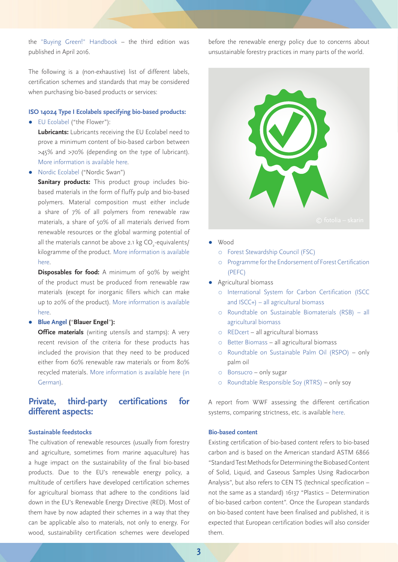the "[Buying Green!" Handbook](http://ec.europa.eu/environment/gpp/pdf/Buying-Green-Handbook-3rd-Edition.pdf) – the third edition was published in April 2016.

The following is a (non-exhaustive) list of different labels, certification schemes and standards that may be considered when purchasing bio-based products or services:

#### **ISO 14024 Type I Ecolabels specifying bio-based products:**

● [EU Ecolabel](http://ec.europa.eu/environment/ecolabel/products-groups-and-criteria.html) ("the Flower"):

**Lubricants:** Lubricants receiving the EU Ecolabel need to prove a minimum content of bio-based carbon between >45% and >70% (depending on the type of lubricant). [More information is available here.](http://ec.europa.eu/environment/ecolabel/documents/lubricants.pdf)

● [Nordic Ecolabel](http://www.nordic-ecolabel.org/criteria/product-groups/) ("Nordic Swan")

Sanitary products: This product group includes biobased materials in the form of fluffy pulp and bio-based polymers. Material composition must either include a share of 7% of all polymers from renewable raw materials, a share of 50% of all materials derived from renewable resources or the global warming potential of all the materials cannot be above 2.1 kg CO<sub>2</sub>-equivalents/ kilogramme of the product. [More information is available](http://www.nordic-ecolabel.org/criteria/product-groups/?p=2) [here.](http://www.nordic-ecolabel.org/criteria/product-groups/?p=2)

**Disposables for food:** A minimum of 90% by weight of the product must be produced from renewable raw materials (except for inorganic fillers which can make up to 20% of the product). [More information is available](http://www.nordic-ecolabel.org/criteria/product-groups/?p=1)  [here.](http://www.nordic-ecolabel.org/criteria/product-groups/?p=1)

#### ● **[Blue Angel](https://www.blauer-engel.de/de/produktwelt) (**"**Blauer Engel**"**):**

**Office materials** (writing utensils and stamps): A very recent revision of the criteria for these products has included the provision that they need to be produced either from 60% renewable raw materials or from 80% recycled materials. [More information is available here \(in](https://www.blauer-engel.de/de/produktwelt/haushalt-wohnen/schreibgeraete-stempel) [German\).](https://www.blauer-engel.de/de/produktwelt/haushalt-wohnen/schreibgeraete-stempel)

# **Private, third-party certifications for different aspects:**

#### **Sustainable feedstocks**

The cultivation of renewable resources (usually from forestry and agriculture, sometimes from marine aquaculture) has a huge impact on the sustainability of the final bio-based products. Due to the EU's renewable energy policy, a multitude of certifiers have developed certification schemes for agricultural biomass that adhere to the conditions laid down in the EU's Renewable Energy Directive (RED). Most of them have by now adapted their schemes in a way that they can be applicable also to materials, not only to energy. For wood, sustainability certification schemes were developed

before the renewable energy policy due to concerns about unsustainable forestry practices in many parts of the world.



- **Wood** 
	- [Forest Stewardship Council \(FSC\)](https://ic.fsc.org/en)
	- [Programme for the Endorsement of Forest Certification](http://www.pefc.org)  [\(PEFC\)](http://www.pefc.org)
- Agricultural biomass
	- [International System for Carbon Certification \(ISCC](http://www.iscc-system.org/en/)  [and ISCC+\) – all agricultural biomass](http://www.iscc-system.org/en/)
	- [Roundtable on Sustainable Biomaterials \(RSB\) all](http://rsb.org)  [agricultural biomass](http://rsb.org)
	- [REDcert](http://www.redcert.org/index.php?lang=en)  all agricultural biomass
	- [Better Biomass](http://www.betterbiomass.com) all agricultural biomass
	- [Roundtable on Sustainable Palm Oil \(RSPO\)](http://www.rspo.org/about)  only palm oil
	- [Bonsucro](http://www.bonsucro.com)  only sugar
	- [Roundtable Responsible Soy \(RTRS\)](http://www.responsiblesoy.org/?lang=en) only soy

A report from WWF assessing the different certification systems, comparing strictness, etc. is available [here](http://awsassets.panda.org/downloads/wwf_searching_for_sustainability_2013_2.pdf).

#### **Bio-based content**

Existing certification of bio-based content refers to bio-based carbon and is based on the American standard ASTM 6866 "Standard Test Methods for Determining the Biobased Content of Solid, Liquid, and Gaseous Samples Using Radiocarbon Analysis", but also refers to CEN TS (technical specification – not the same as a standard) 16137 "Plastics – Determination of bio-based carbon content". Once the European standards on bio-based content have been finalised and published, it is expected that European certification bodies will also consider them.